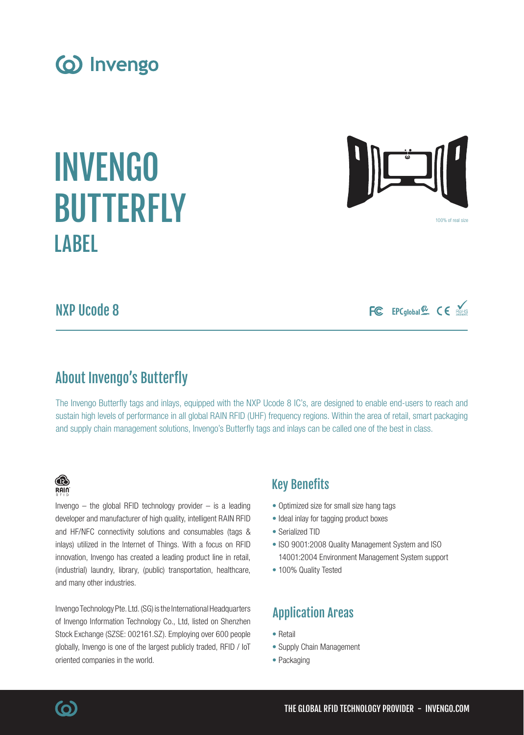NXP Ucode 8

# About Invengo's Butterfly

The Invengo Butterfly tags and inlays, equipped with the NXP Ucode 8 IC's, are designed to enable end-users to reach and sustain high levels of performance in all global RAIN RFID (UHF) frequency regions. Within the area of retail, smart packaging and supply chain management solutions, Invengo's Butterfly tags and inlays can be called one of the best in class.

## Key Benefits

- Optimized size for small size hang tags
- Ideal inlay for tagging product boxes
- Serialized TID
- ISO 9001:2008 Quality Management System and ISO 14001:2004 Environment Management System support
- 100% Quality Tested

## Application Areas

- Retail
- Supply Chain Management
- Packaging

## (industrial) laundry, library, (public) transportation, healthcare, and many other industries. Invengo Technology Pte. Ltd. (SG) is the International Headquarters

of Invengo Information Technology Co., Ltd, listed on Shenzhen Stock Exchange (SZSE: 002161.SZ). Employing over 600 people globally, Invengo is one of the largest publicly traded, RFID / IoT oriented companies in the world.

Invengo  $-$  the global RFID technology provider  $-$  is a leading developer and manufacturer of high quality, intelligent RAIN RFID and HF/NFC connectivity solutions and consumables (tags & inlays) utilized in the Internet of Things. With a focus on RFID innovation, Invengo has created a leading product line in retail,

(o) Invengo

# INVENGO **BUTTERFLY LAREL**







® RAIN